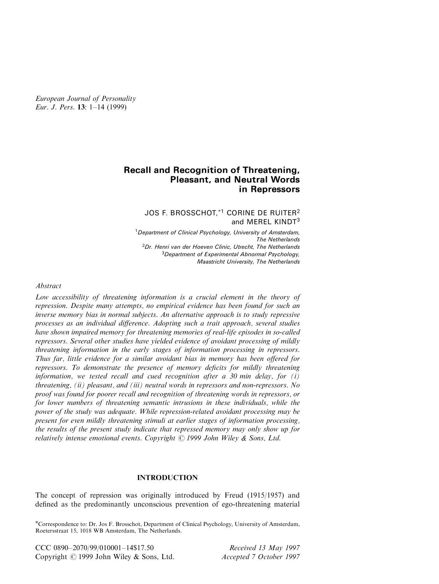European Journal of Personality Eur. J. Pers.  $13: 1-14$  (1999)

# Recall and Recognition of Threatening, Pleasant, and Neutral Words in Repressors

# JOS F. BROSSCHOT.<sup>\*1</sup> CORINE DE RUITER<sup>2</sup> and MEREL KINDT<sup>3</sup>

<sup>1</sup>Department of Clinical Psychology, University of Amsterdam, The Netherlands  ${}^{2}$ Dr. Henri van der Hoeven Clinic, Utrecht, The Netherlands <sup>3</sup>Department of Experimental Abnormal Psychology, Maastricht University, The Netherlands

### Abstract

Low accessibility of threatening information is a crucial element in the theory of repression. Despite many attempts, no empirical evidence has been found for such an inverse memory bias in normal subjects. An alternative approach is to study repressive processes as an individual difference. Adopting such a trait approach, several studies have shown impaired memory for threatening memories of real-life episodes in so-called repressors. Several other studies have yielded evidence of avoidant processing of mildly threatening information in the early stages of information processing in repressors. Thus far, little evidence for a similar avoidant bias in memory has been offered for repressors. To demonstrate the presence of memory deficits for mildly threatening information, we tested recall and cued recognition after a 30 min delay, for  $(i)$ threatening, (ii) pleasant, and (iii) neutral words in repressors and non-repressors. No proof was found for poorer recall and recognition of threatening words in repressors, or for lower numbers of threatening semantic intrusions in these individuals, while the power of the study was adequate. While repression-related avoidant processing may be present for even mildly threatening stimuli at earlier stages of information processing, the results of the present study indicate that repressed memory may only show up for relatively intense emotional events. Copyright  $\odot$  1999 John Wiley & Sons, Ltd.

### INTRODUCTION

The concept of repression was originally introduced by Freud (1915/1957) and defined as the predominantly unconscious prevention of ego-threatening material

\*Correspondence to: Dr. Jos F. Brosschot, Department of Clinical Psychology, University of Amsterdam, Roetersstraat 15, 1018 WB Amsterdam, The Netherlands.

CCC 0890-2070/99/010001-14\$17.50 Received 13 May 1997 Copyright © 1999 John Wiley & Sons, Ltd. Accepted 7 October 1997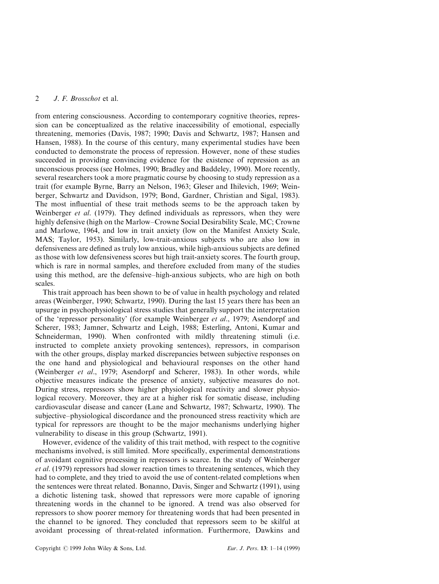from entering consciousness. According to contemporary cognitive theories, repression can be conceptualized as the relative inaccessibility of emotional, especially threatening, memories (Davis, 1987; 1990; Davis and Schwartz, 1987; Hansen and Hansen, 1988). In the course of this century, many experimental studies have been conducted to demonstrate the process of repression. However, none of these studies succeeded in providing convincing evidence for the existence of repression as an unconscious process (see Holmes, 1990; Bradley and Baddeley, 1990). More recently, several researchers took a more pragmatic course by choosing to study repression as a trait (for example Byrne, Barry an Nelson, 1963; Gleser and Ihilevich, 1969; Weinberger, Schwartz and Davidson, 1979; Bond, Gardner, Christian and Sigal, 1983). The most influential of these trait methods seems to be the approach taken by Weinberger *et al.* (1979). They defined individuals as repressors, when they were highly defensive (high on the Marlow–Crowne Social Desirability Scale, MC; Crowne and Marlowe, 1964, and low in trait anxiety (low on the Manifest Anxiety Scale, MAS; Taylor, 1953). Similarly, low-trait-anxious subjects who are also low in defensiveness are defined as truly low anxious, while high-anxious subjects are defined as those with low defensiveness scores but high trait-anxiety scores. The fourth group, which is rare in normal samples, and therefore excluded from many of the studies using this method, are the defensive-high-anxious subjects, who are high on both scales.

This trait approach has been shown to be of value in health psychology and related areas (Weinberger, 1990; Schwartz, 1990). During the last 15 years there has been an upsurge in psychophysiological stress studies that generally support the interpretation of the 'repressor personality' (for example Weinberger et al., 1979; Asendorpf and Scherer, 1983; Jamner, Schwartz and Leigh, 1988; Esterling, Antoni, Kumar and Schneiderman, 1990). When confronted with mildly threatening stimuli (i.e. instructed to complete anxiety provoking sentences), repressors, in comparison with the other groups, display marked discrepancies between subjective responses on the one hand and physiological and behavioural responses on the other hand (Weinberger et al., 1979; Asendorpf and Scherer, 1983). In other words, while objective measures indicate the presence of anxiety, subjective measures do not. During stress, repressors show higher physiological reactivity and slower physiological recovery. Moreover, they are at a higher risk for somatic disease, including cardiovascular disease and cancer (Lane and Schwartz, 1987; Schwartz, 1990). The subjective-physiological discordance and the pronounced stress reactivity which are typical for repressors are thought to be the major mechanisms underlying higher vulnerability to disease in this group (Schwartz, 1991).

However, evidence of the validity of this trait method, with respect to the cognitive mechanisms involved, is still limited. More specifically, experimental demonstrations of avoidant cognitive processing in repressors is scarce. In the study of Weinberger et al. (1979) repressors had slower reaction times to threatening sentences, which they had to complete, and they tried to avoid the use of content-related completions when the sentences were threat related. Bonanno, Davis, Singer and Schwartz (1991), using a dichotic listening task, showed that repressors were more capable of ignoring threatening words in the channel to be ignored. A trend was also observed for repressors to show poorer memory for threatening words that had been presented in the channel to be ignored. They concluded that repressors seem to be skilful at avoidant processing of threat-related information. Furthermore, Dawkins and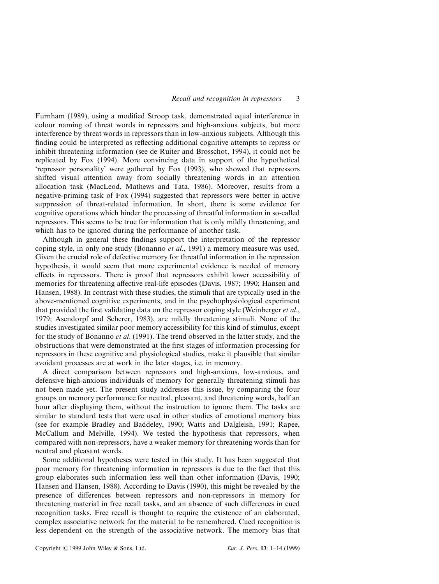Furnham (1989), using a modified Stroop task, demonstrated equal interference in colour naming of threat words in repressors and high-anxious subjects, but more interference by threat words in repressors than in low-anxious subjects. Although this finding could be interpreted as reflecting additional cognitive attempts to repress or inhibit threatening information (see de Ruiter and Brosschot, 1994), it could not be replicated by Fox (1994). More convincing data in support of the hypothetical `repressor personality' were gathered by Fox (1993), who showed that repressors shifted visual attention away from socially threatening words in an attention allocation task (MacLeod, Mathews and Tata, 1986). Moreover, results from a negative-priming task of Fox (1994) suggested that repressors were better in active suppression of threat-related information. In short, there is some evidence for cognitive operations which hinder the processing of threatful information in so-called repressors. This seems to be true for information that is only mildly threatening, and which has to be ignored during the performance of another task.

Although in general these findings support the interpretation of the repressor coping style, in only one study (Bonanno *et al.*, 1991) a memory measure was used. Given the crucial role of defective memory for threatful information in the repression hypothesis, it would seem that more experimental evidence is needed of memory effects in repressors. There is proof that repressors exhibit lower accessibility of memories for threatening affective real-life episodes (Davis, 1987; 1990; Hansen and Hansen, 1988). In contrast with these studies, the stimuli that are typically used in the above-mentioned cognitive experiments, and in the psychophysiological experiment that provided the first validating data on the repressor coping style (Weinberger *et al.*, 1979; Asendorpf and Scherer, 1983), are mildly threatening stimuli. None of the studies investigated similar poor memory accessibility for this kind of stimulus, except for the study of Bonanno et al. (1991). The trend observed in the latter study, and the obstructions that were demonstrated at the first stages of information processing for repressors in these cognitive and physiological studies, make it plausible that similar avoidant processes are at work in the later stages, i.e. in memory.

A direct comparison between repressors and high-anxious, low-anxious, and defensive high-anxious individuals of memory for generally threatening stimuli has not been made yet. The present study addresses this issue, by comparing the four groups on memory performance for neutral, pleasant, and threatening words, half an hour after displaying them, without the instruction to ignore them. The tasks are similar to standard tests that were used in other studies of emotional memory bias (see for example Bradley and Baddeley, 1990; Watts and Dalgleish, 1991; Rapee, McCallum and Melville, 1994). We tested the hypothesis that repressors, when compared with non-repressors, have a weaker memory for threatening words than for neutral and pleasant words.

Some additional hypotheses were tested in this study. It has been suggested that poor memory for threatening information in repressors is due to the fact that this group elaborates such information less well than other information (Davis, 1990; Hansen and Hansen, 1988). According to Davis (1990), this might be revealed by the presence of differences between repressors and non-repressors in memory for threatening material in free recall tasks, and an absence of such differences in cued recognition tasks. Free recall is thought to require the existence of an elaborated, complex associative network for the material to be remembered. Cued recognition is less dependent on the strength of the associative network. The memory bias that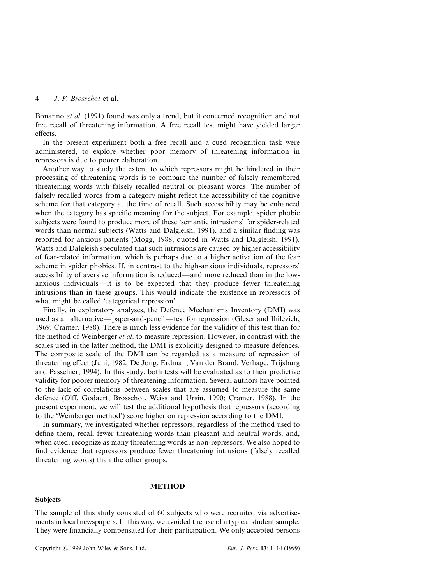Bonanno et al. (1991) found was only a trend, but it concerned recognition and not free recall of threatening information. A free recall test might have yielded larger effects.

In the present experiment both a free recall and a cued recognition task were administered, to explore whether poor memory of threatening information in repressors is due to poorer elaboration.

Another way to study the extent to which repressors might be hindered in their processing of threatening words is to compare the number of falsely remembered threatening words with falsely recalled neutral or pleasant words. The number of falsely recalled words from a category might reflect the accessibility of the cognitive scheme for that category at the time of recall. Such accessibility may be enhanced when the category has specific meaning for the subject. For example, spider phobic subjects were found to produce more of these `semantic intrusions' for spider-related words than normal subjects (Watts and Dalgleish, 1991), and a similar finding was reported for anxious patients (Mogg, 1988, quoted in Watts and Dalgleish, 1991). Watts and Dalgleish speculated that such intrusions are caused by higher accessibility of fear-related information, which is perhaps due to a higher activation of the fear scheme in spider phobics. If, in contrast to the high-anxious individuals, repressors' accessibility of aversive information is reduced—and more reduced than in the lowanxious individuals—it is to be expected that they produce fewer threatening intrusions than in these groups. This would indicate the existence in repressors of what might be called 'categorical repression'.

Finally, in exploratory analyses, the Defence Mechanisms Inventory (DMI) was used as an alternative—paper-and-pencil—test for repression (Gleser and Ihilevich, 1969; Cramer, 1988). There is much less evidence for the validity of this test than for the method of Weinberger et al. to measure repression. However, in contrast with the scales used in the latter method, the DMI is explicitly designed to measure defences. The composite scale of the DMI can be regarded as a measure of repression of threatening effect (Juni, 1982; De Jong, Erdman, Van der Brand, Verhage, Trijsburg and Passchier, 1994). In this study, both tests will be evaluated as to their predictive validity for poorer memory of threatening information. Several authors have pointed to the lack of correlations between scales that are assumed to measure the same defence (Olff, Godaert, Brosschot, Weiss and Ursin, 1990; Cramer, 1988). In the present experiment, we will test the additional hypothesis that repressors (according to the `Weinberger method') score higher on repression according to the DMI.

In summary, we investigated whether repressors, regardless of the method used to define them, recall fewer threatening words than pleasant and neutral words, and, when cued, recognize as many threatening words as non-repressors. We also hoped to find evidence that repressors produce fewer threatening intrusions (falsely recalled threatening words) than the other groups.

# METHOD

## Subjects

The sample of this study consisted of 60 subjects who were recruited via advertisements in local newspapers. In this way, we avoided the use of a typical student sample. They were financially compensated for their participation. We only accepted persons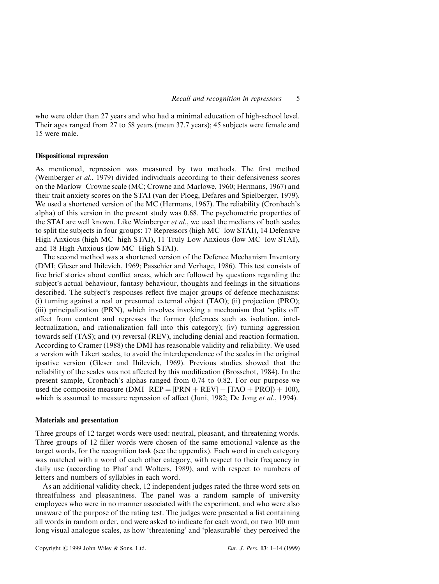who were older than 27 years and who had a minimal education of high-school level. Their ages ranged from 27 to 58 years (mean 37.7 years); 45 subjects were female and 15 were male.

### Dispositional repression

As mentioned, repression was measured by two methods. The first method (Weinberger et al., 1979) divided individuals according to their defensiveness scores on the Marlow±Crowne scale (MC; Crowne and Marlowe, 1960; Hermans, 1967) and their trait anxiety scores on the STAI (van der Ploeg, Defares and Spielberger, 1979). We used a shortened version of the MC (Hermans, 1967). The reliability (Cronbach's alpha) of this version in the present study was 0.68. The psychometric properties of the STAI are well known. Like Weinberger *et al.*, we used the medians of both scales to split the subjects in four groups: 17 Repressors (high MC-low STAI), 14 Defensive High Anxious (high MC-high STAI), 11 Truly Low Anxious (low MC-low STAI), and 18 High Anxious (low MC-High STAI).

The second method was a shortened version of the Defence Mechanism Inventory (DMI; Gleser and Ihilevich, 1969; Passchier and Verhage, 1986). This test consists of five brief stories about conflict areas, which are followed by questions regarding the subject's actual behaviour, fantasy behaviour, thoughts and feelings in the situations described. The subject's responses reflect five major groups of defence mechanisms: (i) turning against a real or presumed external object (TAO); (ii) projection (PRO); (iii) principalization (PRN), which involves invoking a mechanism that 'splits off' affect from content and represses the former (defences such as isolation, intellectualization, and rationalization fall into this category); (iv) turning aggression towards self (TAS); and (v) reversal (REV), including denial and reaction formation. According to Cramer (1988) the DMI has reasonable validity and reliability. We used a version with Likert scales, to avoid the interdependence of the scales in the original ipsative version (Gleser and Ihilevich, 1969). Previous studies showed that the reliability of the scales was not affected by this modification (Brosschot, 1984). In the present sample, Cronbach's alphas ranged from 0.74 to 0.82. For our purpose we used the composite measure (DMI-REP = [PRN + REV]  $-$  [TAO + PRO]) + 100), which is assumed to measure repression of affect (Juni, 1982; De Jong et al., 1994).

#### Materials and presentation

Three groups of 12 target words were used: neutral, pleasant, and threatening words. Three groups of 12 filler words were chosen of the same emotional valence as the target words, for the recognition task (see the appendix). Each word in each category was matched with a word of each other category, with respect to their frequency in daily use (according to Phaf and Wolters, 1989), and with respect to numbers of letters and numbers of syllables in each word.

As an additional validity check, 12 independent judges rated the three word sets on threatfulness and pleasantness. The panel was a random sample of university employees who were in no manner associated with the experiment, and who were also unaware of the purpose of the rating test. The judges were presented a list containing all words in random order, and were asked to indicate for each word, on two 100 mm long visual analogue scales, as how 'threatening' and 'pleasurable' they perceived the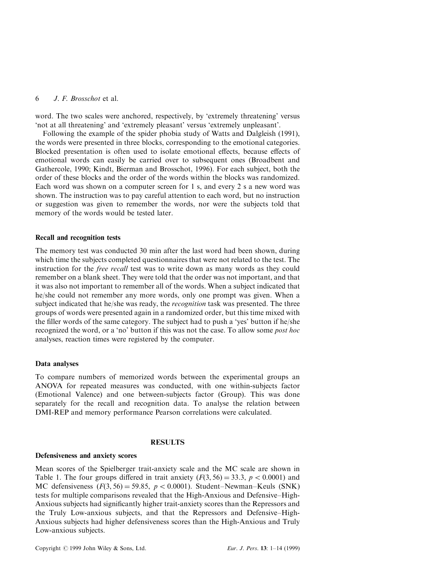word. The two scales were anchored, respectively, by 'extremely threatening' versus `not at all threatening' and `extremely pleasant' versus `extremely unpleasant'.

Following the example of the spider phobia study of Watts and Dalgleish (1991), the words were presented in three blocks, corresponding to the emotional categories. Blocked presentation is often used to isolate emotional effects, because effects of emotional words can easily be carried over to subsequent ones (Broadbent and Gathercole, 1990; Kindt, Bierman and Brosschot, 1996). For each subject, both the order of these blocks and the order of the words within the blocks was randomized. Each word was shown on a computer screen for 1 s, and every 2 s a new word was shown. The instruction was to pay careful attention to each word, but no instruction or suggestion was given to remember the words, nor were the subjects told that memory of the words would be tested later.

## Recall and recognition tests

The memory test was conducted 30 min after the last word had been shown, during which time the subjects completed questionnaires that were not related to the test. The instruction for the free recall test was to write down as many words as they could remember on a blank sheet. They were told that the order was not important, and that it was also not important to remember all of the words. When a subject indicated that he/she could not remember any more words, only one prompt was given. When a subject indicated that he/she was ready, the recognition task was presented. The three groups of words were presented again in a randomized order, but this time mixed with the filler words of the same category. The subject had to push a 'yes' button if he/she recognized the word, or a 'no' button if this was not the case. To allow some *post hoc* analyses, reaction times were registered by the computer.

## Data analyses

To compare numbers of memorized words between the experimental groups an ANOVA for repeated measures was conducted, with one within-subjects factor (Emotional Valence) and one between-subjects factor (Group). This was done separately for the recall and recognition data. To analyse the relation between DMI-REP and memory performance Pearson correlations were calculated.

# RESULTS

### Defensiveness and anxiety scores

Mean scores of the Spielberger trait-anxiety scale and the MC scale are shown in Table 1. The four groups differed in trait anxiety  $(F(3, 56) = 33.3, p < 0.0001)$  and MC defensiveness  $(F(3, 56) = 59.85, p < 0.0001)$ . Student-Newman-Keuls (SNK) tests for multiple comparisons revealed that the High-Anxious and Defensive-High-Anxious subjects had significantly higher trait-anxiety scores than the Repressors and the Truly Low-anxious subjects, and that the Repressors and Defensive–High-Anxious subjects had higher defensiveness scores than the High-Anxious and Truly Low-anxious subjects.

Copyright  $\odot$  1999 John Wiley & Sons, Ltd. Eur. J. Pers. 13: 1–14 (1999)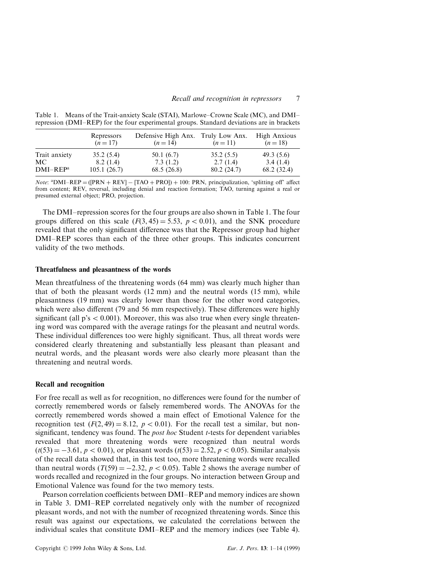|                             | Repressors<br>$(n=17)$  | Defensive High Anx. Truly Low Anx.<br>$(n=14)$ | $(n=11)$               | High Anxious<br>$(n=18)$ |
|-----------------------------|-------------------------|------------------------------------------------|------------------------|--------------------------|
| Trait anxiety               | 35.2(5.4)               | 50.1(6.7)                                      | 35.2(5.5)              | 49.3(5.6)                |
| MC.<br>DMI–REP <sup>a</sup> | 8.2(1.4)<br>105.1(26.7) | 7.3(1.2)<br>68.5(26.8)                         | 2.7(1.4)<br>80.2(24.7) | 3.4(1.4)<br>68.2 (32.4)  |

Table 1. Means of the Trait-anxiety Scale (STAI), Marlowe–Crowne Scale (MC), and DMI– repression (DMI–REP) for the four experimental groups. Standard deviations are in brackets

*Note*:  ${}^{a}$ DMI-REP = ([PRN + REV] - [TAO + PRO]) + 100: PRN, principalization, 'splitting off' affect from content; REV, reversal, including denial and reaction formation; TAO, turning against a real or presumed external object; PRO, projection.

The DMI-repression scores for the four groups are also shown in Table 1. The four groups differed on this scale  $(F(3, 45) = 5.53, p < 0.01)$ , and the SNK procedure revealed that the only significant difference was that the Repressor group had higher DMI-REP scores than each of the three other groups. This indicates concurrent validity of the two methods.

#### Threatfulness and pleasantness of the words

Mean threatfulness of the threatening words (64 mm) was clearly much higher than that of both the pleasant words (12 mm) and the neutral words (15 mm), while pleasantness (19 mm) was clearly lower than those for the other word categories, which were also different  $(79 \text{ and } 56 \text{ mm respectively})$ . These differences were highly significant (all  $p's < 0.001$ ). Moreover, this was also true when every single threatening word was compared with the average ratings for the pleasant and neutral words. These individual differences too were highly significant. Thus, all threat words were considered clearly threatening and substantially less pleasant than pleasant and neutral words, and the pleasant words were also clearly more pleasant than the threatening and neutral words.

### Recall and recognition

For free recall as well as for recognition, no differences were found for the number of correctly remembered words or falsely remembered words. The ANOVAs for the correctly remembered words showed a main effect of Emotional Valence for the recognition test  $(F(2, 49) = 8.12, p < 0.01)$ . For the recall test a similar, but nonsignificant, tendency was found. The *post hoc* Student  $t$ -tests for dependent variables revealed that more threatening words were recognized than neutral words  $(t(53) = -3.61, p < 0.01)$ , or pleasant words  $(t(53) = 2.52, p < 0.05)$ . Similar analysis of the recall data showed that, in this test too, more threatening words were recalled than neutral words  $(T(59) = -2.32, p < 0.05)$ . Table 2 shows the average number of words recalled and recognized in the four groups. No interaction between Group and Emotional Valence was found for the two memory tests.

Pearson correlation coefficients between DMI–REP and memory indices are shown in Table 3. DMI-REP correlated negatively only with the number of recognized pleasant words, and not with the number of recognized threatening words. Since this result was against our expectations, we calculated the correlations between the individual scales that constitute DMI-REP and the memory indices (see Table 4).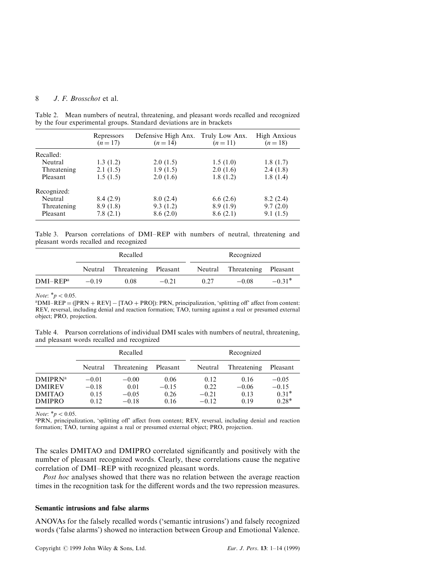| Repressors<br>$(n=17)$ | $(n=14)$                                     | $(n=11)$                                     | High Anxious<br>$(n=18)$                                                           |
|------------------------|----------------------------------------------|----------------------------------------------|------------------------------------------------------------------------------------|
|                        |                                              |                                              |                                                                                    |
|                        |                                              |                                              | 1.8(1.7)                                                                           |
|                        |                                              |                                              | 2.4(1.8)                                                                           |
| 1.5(1.5)               | 2.0(1.6)                                     | 1.8(1.2)                                     | 1.8(1.4)                                                                           |
|                        |                                              |                                              |                                                                                    |
|                        |                                              |                                              | 8.2(2.4)                                                                           |
|                        |                                              |                                              | 9.7(2.0)                                                                           |
| 7.8(2.1)               | 8.6(2.0)                                     | 8.6(2.1)                                     | 9.1(1.5)                                                                           |
|                        | 1.3(1.2)<br>2.1(1.5)<br>8.4(2.9)<br>8.9(1.8) | 2.0(1.5)<br>1.9(1.5)<br>8.0(2.4)<br>9.3(1.2) | Defensive High Anx. Truly Low Anx.<br>1.5(1.0)<br>2.0(1.6)<br>6.6(2.6)<br>8.9(1.9) |

Table 2. Mean numbers of neutral, threatening, and pleasant words recalled and recognized by the four experimental groups. Standard deviations are in brackets

Table 3. Pearson correlations of DMI-REP with numbers of neutral, threatening and pleasant words recalled and recognized

|                      | Recalled |                      |         |      | Recognized                   |          |
|----------------------|----------|----------------------|---------|------|------------------------------|----------|
|                      | Neutral  | Threatening Pleasant |         |      | Neutral Threatening Pleasant |          |
| DMI–REP <sup>a</sup> | $-0.19$  | 0.08                 | $-0.21$ | 0.27 | $-0.08$                      | $-0.31*$ |

*Note:*  $*_{p}$  < 0.05.

 $A<sup>a</sup>DMI–REP = ([PRN + REV] – [TAO + PRO]): PRN, principalization, 'splitting off' affect from content: 1.5.7.7.$ REV, reversal, including denial and reaction formation; TAO, turning against a real or presumed external object; PRO, projection.

Table 4. Pearson correlations of individual DMI scales with numbers of neutral, threatening, and pleasant words recalled and recognized

|                                                                   | Recalled                           |                                       |                                 | Recognized                         |                                 |                                          |
|-------------------------------------------------------------------|------------------------------------|---------------------------------------|---------------------------------|------------------------------------|---------------------------------|------------------------------------------|
|                                                                   | Neutral                            | Threatening                           | Pleasant                        | Neutral                            | Threatening                     | Pleasant                                 |
| <b>DMIPRNa</b><br><b>DMIREV</b><br><b>DMITAO</b><br><b>DMIPRO</b> | $-0.01$<br>$-0.18$<br>0.15<br>0.12 | $-0.00$<br>0.01<br>$-0.05$<br>$-0.18$ | 0.06<br>$-0.15$<br>0.26<br>0.16 | 0.12<br>0.22<br>$-0.21$<br>$-0.12$ | 0.16<br>$-0.06$<br>0.13<br>0.19 | $-0.05$<br>$-0.15$<br>$0.31*$<br>$0.28*$ |

*Note:*  ${}^*p$  < 0.05. <br><sup>a</sup>PRN, principalization, 'splitting off' affect from content; REV, reversal, including denial and reaction formation; TAO, turning against a real or presumed external object; PRO, projection.

The scales DMITAO and DMIPRO correlated significantly and positively with the number of pleasant recognized words. Clearly, these correlations cause the negative correlation of DMI-REP with recognized pleasant words.

Post hoc analyses showed that there was no relation between the average reaction times in the recognition task for the different words and the two repression measures.

## Semantic intrusions and false alarms

ANOVAs for the falsely recalled words (`semantic intrusions') and falsely recognized words ('false alarms') showed no interaction between Group and Emotional Valence.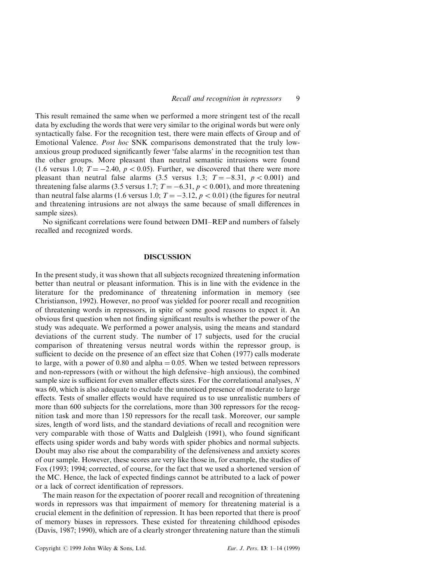This result remained the same when we performed a more stringent test of the recall data by excluding the words that were very similar to the original words but were only syntactically false. For the recognition test, there were main effects of Group and of Emotional Valence. Post hoc SNK comparisons demonstrated that the truly lowanxious group produced significantly fewer 'false alarms' in the recognition test than the other groups. More pleasant than neutral semantic intrusions were found (1.6 versus 1.0;  $T = -2.40$ ,  $p < 0.05$ ). Further, we discovered that there were more pleasant than neutral false alarms (3.5 versus 1.3;  $T = -8.31$ ,  $p < 0.001$ ) and threatening false alarms (3.5 versus 1.7;  $T = -6.31$ ,  $p < 0.001$ ), and more threatening than neutral false alarms (1.6 versus 1.0;  $T = -3.12$ ,  $p < 0.01$ ) (the figures for neutral and threatening intrusions are not always the same because of small differences in sample sizes).

No significant correlations were found between DMI–REP and numbers of falsely recalled and recognized words.

#### DISCUSSION

In the present study, it was shown that all subjects recognized threatening information better than neutral or pleasant information. This is in line with the evidence in the literature for the predominance of threatening information in memory (see Christianson, 1992). However, no proof was yielded for poorer recall and recognition of threatening words in repressors, in spite of some good reasons to expect it. An obvious first question when not finding significant results is whether the power of the study was adequate. We performed a power analysis, using the means and standard deviations of the current study. The number of 17 subjects, used for the crucial comparison of threatening versus neutral words within the repressor group, is sufficient to decide on the presence of an effect size that Cohen (1977) calls moderate to large, with a power of 0.80 and alpha  $= 0.05$ . When we tested between repressors and non-repressors (with or without the high defensive—high anxious), the combined sample size is sufficient for even smaller effects sizes. For the correlational analyses,  $N$ was 60, which is also adequate to exclude the unnoticed presence of moderate to large effects. Tests of smaller effects would have required us to use unrealistic numbers of more than 600 subjects for the correlations, more than 300 repressors for the recognition task and more than 150 repressors for the recall task. Moreover, our sample sizes, length of word lists, and the standard deviations of recall and recognition were very comparable with those of Watts and Dalgleish (1991), who found significant effects using spider words and baby words with spider phobics and normal subjects. Doubt may also rise about the comparability of the defensiveness and anxiety scores of our sample. However, these scores are very like those in, for example, the studies of Fox (1993; 1994; corrected, of course, for the fact that we used a shortened version of the MC. Hence, the lack of expected findings cannot be attributed to a lack of power or a lack of correct identification of repressors.

The main reason for the expectation of poorer recall and recognition of threatening words in repressors was that impairment of memory for threatening material is a crucial element in the definition of repression. It has been reported that there is proof of memory biases in repressors. These existed for threatening childhood episodes (Davis, 1987; 1990), which are of a clearly stronger threatening nature than the stimuli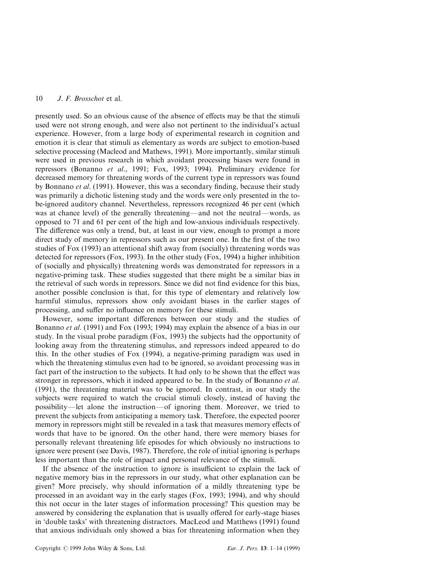presently used. So an obvious cause of the absence of effects may be that the stimuli used were not strong enough, and were also not pertinent to the individual's actual experience. However, from a large body of experimental research in cognition and emotion it is clear that stimuli as elementary as words are subject to emotion-based selective processing (Macleod and Mathews, 1991). More importantly, similar stimuli were used in previous research in which avoidant processing biases were found in repressors (Bonanno et al., 1991; Fox, 1993; 1994). Preliminary evidence for decreased memory for threatening words of the current type in repressors was found by Bonnano *et al.* (1991). However, this was a secondary finding, because their study was primarily a dichotic listening study and the words were only presented in the tobe-ignored auditory channel. Nevertheless, repressors recognized 46 per cent (which was at chance level) of the generally threatening—and not the neutral—words, as opposed to 71 and 61 per cent of the high and low-anxious individuals respectively. The difference was only a trend, but, at least in our view, enough to prompt a more direct study of memory in repressors such as our present one. In the first of the two studies of Fox (1993) an attentional shift away from (socially) threatening words was detected for repressors (Fox, 1993). In the other study (Fox, 1994) a higher inhibition of (socially and physically) threatening words was demonstrated for repressors in a negative-priming task. These studies suggested that there might be a similar bias in the retrieval of such words in repressors. Since we did not find evidence for this bias, another possible conclusion is that, for this type of elementary and relatively low harmful stimulus, repressors show only avoidant biases in the earlier stages of processing, and suffer no influence on memory for these stimuli.

However, some important differences between our study and the studies of Bonanno et al. (1991) and Fox (1993; 1994) may explain the absence of a bias in our study. In the visual probe paradigm (Fox, 1993) the subjects had the opportunity of looking away from the threatening stimulus, and repressors indeed appeared to do this. In the other studies of Fox (1994), a negative-priming paradigm was used in which the threatening stimulus even had to be ignored, so avoidant processing was in fact part of the instruction to the subjects. It had only to be shown that the effect was stronger in repressors, which it indeed appeared to be. In the study of Bonanno et al. (1991), the threatening material was to be ignored. In contrast, in our study the subjects were required to watch the crucial stimuli closely, instead of having the possibility—let alone the instruction—of ignoring them. Moreover, we tried to prevent the subjects from anticipating a memory task. Therefore, the expected poorer memory in repressors might still be revealed in a task that measures memory effects of words that have to be ignored. On the other hand, there were memory biases for personally relevant threatening life episodes for which obviously no instructions to ignore were present (see Davis, 1987). Therefore, the role of initial ignoring is perhaps less important than the role of impact and personal relevance of the stimuli.

If the absence of the instruction to ignore is insufficient to explain the lack of negative memory bias in the repressors in our study, what other explanation can be given? More precisely, why should information of a mildly threatening type be processed in an avoidant way in the early stages (Fox, 1993; 1994), and why should this not occur in the later stages of information processing? This question may be answered by considering the explanation that is usually offered for early-stage biases in `double tasks' with threatening distractors. MacLeod and Matthews (1991) found that anxious individuals only showed a bias for threatening information when they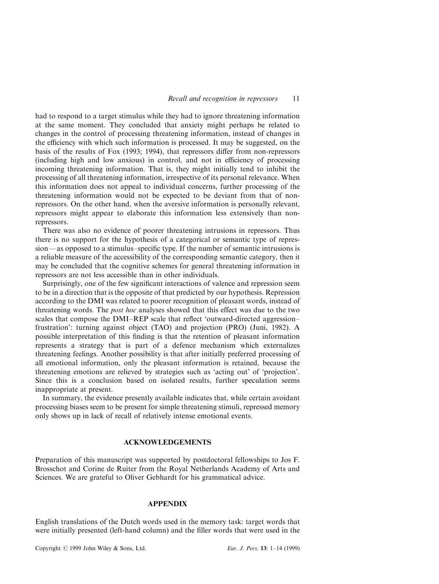had to respond to a target stimulus while they had to ignore threatening information at the same moment. They concluded that anxiety might perhaps be related to changes in the control of processing threatening information, instead of changes in the efficiency with which such information is processed. It may be suggested, on the basis of the results of Fox (1993; 1994), that repressors differ from non-repressors (including high and low anxious) in control, and not in efficiency of processing incoming threatening information. That is, they might initially tend to inhibit the processing of all threatening information, irrespective of its personal relevance. When this information does not appeal to individual concerns, further processing of the threatening information would not be expected to be deviant from that of nonrepressors. On the other hand, when the aversive information is personally relevant, repressors might appear to elaborate this information less extensively than nonrepressors.

There was also no evidence of poorer threatening intrusions in repressors. Thus there is no support for the hypothesis of a categorical or semantic type of repression—as opposed to a stimulus-specific type. If the number of semantic intrusions is a reliable measure of the accessibility of the corresponding semantic category, then it may be concluded that the cognitive schemes for general threatening information in repressors are not less accessible than in other individuals.

Surprisingly, one of the few significant interactions of valence and repression seem to be in a direction that is the opposite of that predicted by our hypothesis. Repression according to the DMI was related to poorer recognition of pleasant words, instead of threatening words. The *post hoc* analyses showed that this effect was due to the two scales that compose the DMI–REP scale that reflect 'outward-directed aggression– frustration': turning against object (TAO) and projection (PRO) (Juni, 1982). A possible interpretation of this finding is that the retention of pleasant information represents a strategy that is part of a defence mechanism which externalizes threatening feelings. Another possibility is that after initially preferred processing of all emotional information, only the pleasant information is retained, because the threatening emotions are relieved by strategies such as `acting out' of `projection'. Since this is a conclusion based on isolated results, further speculation seems inappropriate at present.

In summary, the evidence presently available indicates that, while certain avoidant processing biases seem to be present for simple threatening stimuli, repressed memory only shows up in lack of recall of relatively intense emotional events.

# ACKNOWLEDGEMENTS

Preparation of this manuscript was supported by postdoctoral fellowships to Jos F. Brosschot and Corine de Ruiter from the Royal Netherlands Academy of Arts and Sciences. We are grateful to Oliver Gebhardt for his grammatical advice.

### APPENDIX

English translations of the Dutch words used in the memory task: target words that were initially presented (left-hand column) and the filler words that were used in the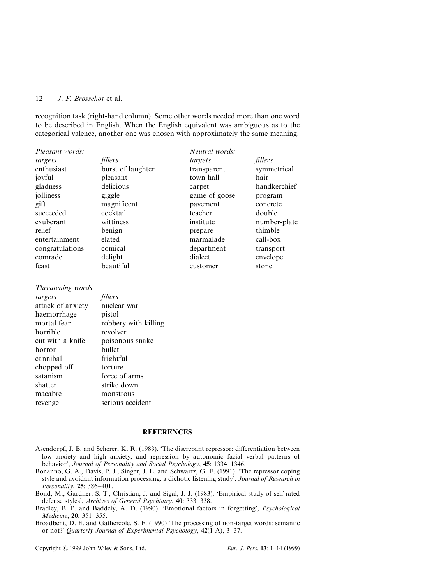recognition task (right-hand column). Some other words needed more than one word to be described in English. When the English equivalent was ambiguous as to the categorical valence, another one was chosen with approximately the same meaning.

Neutral words:

transparent symmetrical

carpet handkerchief game of goose program pavement concrete

institute number-plate

| <i>Pleasant words:</i> |                   | <i>Neutral</i> words: |          |
|------------------------|-------------------|-----------------------|----------|
| targets                | fillers           | targets               | fillers  |
| enthusiast             | burst of laughter | transparent           | symmetr  |
| joyful                 | pleasant          | town hall             | hair     |
| gladness               | delicious         | carpet                | handkerd |
| jolliness              | giggle            | game of goose         | program  |
| gift                   | magnificent       | pavement              | concrete |
| succeeded              | cocktail          | teacher               | double   |
| exuberant              | wittiness         | institute             | number-  |
| relief                 | benign            | prepare               | thimble  |
| entertainment          | elated            | marmalade             | call-box |
| congratulations        | comical           | department            | transpor |
| comrade                | delight           | dialect               | envelope |
| feast                  | beautiful         | customer              | stone    |
|                        |                   |                       |          |

Threatening words targets fillers attack of anxiety nuclear war haemorrhage pistol mortal fear robbery with killing horrible revolver cut with a knife poisonous snake horror bullet cannibal frightful chopped off torture satanism force of arms shatter strike down macabre monstrous revenge serious accident

### **REFERENCES**

- Asendorpf, J. B. and Scherer, K. R. (1983). 'The discrepant repressor: differentiation between low anxiety and high anxiety, and repression by autonomic-facial-verbal patterns of behavior', Journal of Personality and Social Psychology, 45: 1334-1346.
- Bonanno, G. A., Davis, P. J., Singer, J. L. and Schwartz, G. E. (1991). `The repressor coping style and avoidant information processing: a dichotic listening study', Journal of Research in Personality,  $25: 386-401$ .
- Bond, M., Gardner, S. T., Christian, J. and Sigal, J. J. (1983). `Empirical study of self-rated defense styles', Archives of General Psychiatry, 40: 333-338.
- Bradley, B. P. and Baddely, A. D. (1990). 'Emotional factors in forgetting', *Psychological* Medicine, 20: 351-355.
- Broadbent, D. E. and Gathercole, S. E. (1990) 'The processing of non-target words: semantic or not?' Quarterly Journal of Experimental Psychology,  $42(1-A)$ ,  $3-37$ .

Copyright © 1999 John Wiley & Sons, Ltd. Eur. J. Pers. 13: 1-14 (1999)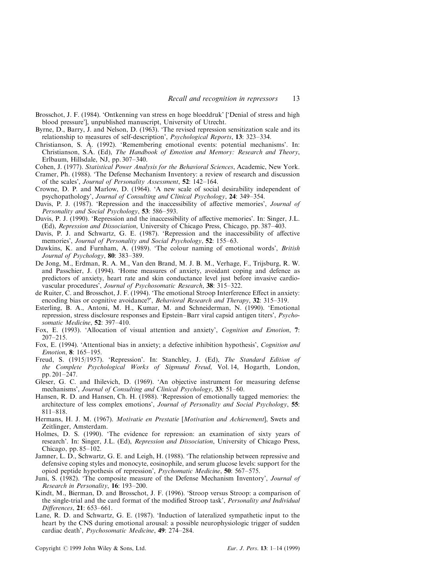- Brosschot, J. F. (1984). `Ontkenning van stress en hoge bloeddruk' [`Denial of stress and high blood pressure'], unpublished manuscript, University of Utrecht.
- Byrne, D., Barry, J. and Nelson, D. (1963). `The revised repression sensitization scale and its relationship to measures of self-description', Psychological Reports, 13: 323-334.
- Christianson, S. Å. (1992). 'Remembering emotional events: potential mechanisms'. In: Christianson, S.Å. (Ed), The Handbook of Emotion and Memory: Research and Theory, Erlbaum, Hillsdale, NJ, pp. 307-340.
- Cohen, J. (1977). Statistical Power Analysis for the Behavioral Sciences, Academic, New York. Cramer, Ph. (1988). `The Defense Mechanism Inventory: a review of research and discussion of the scales', Journal of Personality Assessment, 52: 142-164.
- Crowne, D. P. and Marlow, D. (1964). `A new scale of social desirability independent of psychopathology', Journal of Consulting and Clinical Psychology,  $24: 349-354$ .
- Davis, P. J. (1987). 'Repression and the inaccessibility of affective memories', *Journal of* Personality and Social Psychology, 53: 586-593.
- Davis, P. J. (1990). 'Repression and the inaccessibility of affective memories'. In: Singer, J.L. (Ed), Repression and Dissociation, University of Chicago Press, Chicago, pp. 387-403.
- Davis, P. J. and Schwartz, G. E. (1987). 'Repression and the inaccessibility of affective memories', Journal of Personality and Social Psychology, 52: 155–63.
- Dawkins, K. and Furnham, A. (1989). 'The colour naming of emotional words', *British* Journal of Psychology, 80: 383-389.
- De Jong, M., Erdman, R. A. M., Van den Brand, M. J. B. M., Verhage, F., Trijsburg, R. W. and Passchier, J. (1994). `Home measures of anxiety, avoidant coping and defence as predictors of anxiety, heart rate and skin conductance level just before invasive cardiovascular procedures', Journal of Psychosomatic Research, 38: 315–322.
- de Ruiter, C. and Brosschot, J. F. (1994). 'The emotional Stroop Interference Effect in anxiety: encoding bias or cognitive avoidance?', Behavioral Research and Therapy, 32: 315-319.
- Esterling, B. A., Antoni, M. H., Kumar, M. and Schneiderman, N. (1990). `Emotional repression, stress disclosure responses and Epstein-Barr viral capsid antigen titers', *Psycho*somatic Medicine,  $52: 397-410$ .
- Fox, E. (1993). `Allocation of visual attention and anxiety', Cognition and Emotion, 7:  $207 - 215$ .
- Fox, E. (1994). `Attentional bias in anxiety; a defective inhibition hypothesis', Cognition and Emotion, 8: 165-195.
- Freud, S. (1915/1957). 'Repression'. In: Stanchley, J. (Ed), The Standard Edition of the Complete Psychological Works of Sigmund Freud, Vol. 14, Hogarth, London, pp. 201-247.
- Gleser, G. C. and Ihilevich, D. (1969). `An objective instrument for measuring defense mechanisms', Journal of Consulting and Clinical Psychology, 33: 51-60.
- Hansen, R. D. and Hansen, Ch. H. (1988). 'Repression of emotionally tagged memories: the architecture of less complex emotions', Journal of Personality and Social Psychology, 55: 811±818.
- Hermans, H. J. M. (1967). Motivatie en Prestatie [Motivation and Achievement], Swets and Zeitlinger, Amsterdam.
- Holmes, D. S. (1990). `The evidence for repression: an examination of sixty years of research'. In: Singer, J.L. (Ed), Repression and Dissociation, University of Chicago Press, Chicago, pp. 85-102.
- Jamner, L. D., Schwartz, G. E. and Leigh, H. (1988). `The relationship between repressive and defensive coping styles and monocyte, eosinophile, and serum glucose levels: support for the opiod peptide hypothesis of repression', *Psychomatic Medicine*, **50**: 567–575.
- Juni, S. (1982). 'The composite measure of the Defense Mechanism Inventory', Journal of Research in Personality,  $16: 193-200$ .
- Kindt, M., Bierman, D. and Brosschot, J. F. (1996). `Stroop versus Stroop: a comparison of the single-trial and the card format of the modified Stroop task', *Personality and Individual* Differences, 21: 653-661.
- Lane, R. D. and Schwartz, G. E. (1987). 'Induction of lateralized sympathetic input to the heart by the CNS during emotional arousal: a possible neurophysiologic trigger of sudden cardiac death', Psychosomatic Medicine, 49: 274-284.